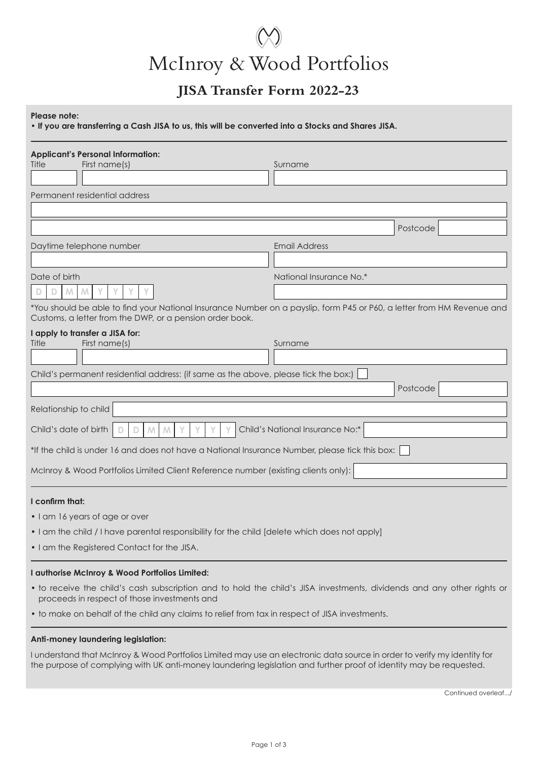# McInroy & Wood Portfolios

# **JISA Transfer Form 2022-23**

# **Please note:**

**• If you are transferring a Cash JISA to us, this will be converted into a Stocks and Shares JISA.**

| <b>Applicant's Personal Information:</b><br>Title                                                                                                                                  |                         |  |  |  |
|------------------------------------------------------------------------------------------------------------------------------------------------------------------------------------|-------------------------|--|--|--|
| First name(s)                                                                                                                                                                      | Surname                 |  |  |  |
| Permanent residential address                                                                                                                                                      |                         |  |  |  |
|                                                                                                                                                                                    |                         |  |  |  |
|                                                                                                                                                                                    | Postcode                |  |  |  |
| Daytime telephone number                                                                                                                                                           | <b>Email Address</b>    |  |  |  |
|                                                                                                                                                                                    |                         |  |  |  |
| Date of birth                                                                                                                                                                      | National Insurance No.* |  |  |  |
| M                                                                                                                                                                                  |                         |  |  |  |
| *You should be able to find your National Insurance Number on a payslip, form P45 or P60, a letter from HM Revenue and<br>Customs, a letter from the DWP, or a pension order book. |                         |  |  |  |
| I apply to transfer a JISA for:                                                                                                                                                    |                         |  |  |  |
| First name(s)<br>Title                                                                                                                                                             | Surname                 |  |  |  |
| Child's permanent residential address: (if same as the above, please tick the box:)                                                                                                |                         |  |  |  |
|                                                                                                                                                                                    | Postcode                |  |  |  |
| Relationship to child                                                                                                                                                              |                         |  |  |  |
| Child's National Insurance No:*<br>Child's date of birth<br>M<br>M                                                                                                                 |                         |  |  |  |
| *If the child is under 16 and does not have a National Insurance Number, please tick this box:                                                                                     |                         |  |  |  |
| McInroy & Wood Portfolios Limited Client Reference number (existing clients only):                                                                                                 |                         |  |  |  |
| I confirm that:                                                                                                                                                                    |                         |  |  |  |
| • I am 16 years of age or over                                                                                                                                                     |                         |  |  |  |
| • I am the child / I have parental responsibility for the child [delete which does not apply]                                                                                      |                         |  |  |  |
| . I am the Registered Contact for the JISA.                                                                                                                                        |                         |  |  |  |
| I authorise McInroy & Wood Portfolios Limited:                                                                                                                                     |                         |  |  |  |
| • to receive the child's cash subscription and to hold the child's JISA investments, dividends and any other rights or<br>proceeds in respect of those investments and             |                         |  |  |  |
| • to make on behalf of the child any claims to relief from tax in respect of JISA investments.                                                                                     |                         |  |  |  |

## **Anti-money laundering legislation:**

I understand that McInroy & Wood Portfolios Limited may use an electronic data source in order to verify my identity for the purpose of complying with UK anti-money laundering legislation and further proof of identity may be requested.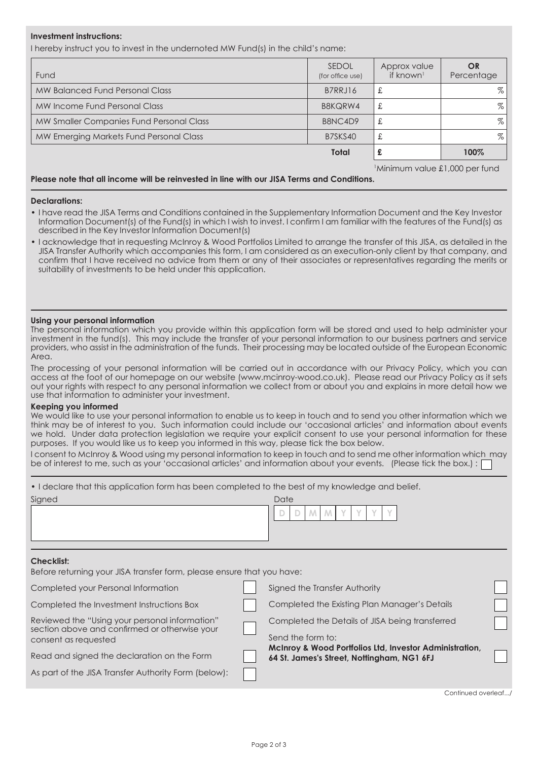## **Investment instructions:**

I hereby instruct you to invest in the undernoted MW Fund(s) in the child's name:

| Fund                                     | <b>SEDOL</b><br>(for office use) | Approx value<br>if known <sup>1</sup> | OR.<br>Percentage |
|------------------------------------------|----------------------------------|---------------------------------------|-------------------|
| MW Balanced Fund Personal Class          | B7RRJ16                          | £                                     | %                 |
| MW Income Fund Personal Class            | B8KQRW4                          | £                                     | $\%$ .            |
| MW Smaller Companies Fund Personal Class | B8NC4D9                          | £                                     | $\%$              |
| MW Emerging Markets Fund Personal Class  | B7SKS40                          | £                                     | %                 |
|                                          | <b>Total</b>                     | £                                     | 100%              |

Minimum value £1,000 per fund

### **Please note that all income will be reinvested in line with our JISA Terms and Conditions.**

#### **Declarations:**

- I have read the JISA Terms and Conditions contained in the Supplementary Information Document and the Key Investor Information Document(s) of the Fund(s) in which I wish to invest. I confirm I am familiar with the features of the Fund(s) as described in the Key Investor Information Document(s)
- I acknowledge that in requesting McInroy & Wood Portfolios Limited to arrange the transfer of this JISA, as detailed in the JISA Transfer Authority which accompanies this form, I am considered as an execution-only client by that company, and confirm that I have received no advice from them or any of their associates or representatives regarding the merits or suitability of investments to be held under this application.

#### **Using your personal information**

The personal information which you provide within this application form will be stored and used to help administer your investment in the fund(s). This may include the transfer of your personal information to our business partners and service providers, who assist in the administration of the funds. Their processing may be located outside of the European Economic Area.

The processing of your personal information will be carried out in accordance with our Privacy Policy, which you can access at the foot of our homepage on our website (www.mcinroy-wood.co.uk). Please read our Privacy Policy as it sets out your rights with respect to any personal information we collect from or about you and explains in more detail how we use that information to administer your investment.

### **Keeping you informed**

We would like to use your personal information to enable us to keep in touch and to send you other information which we think may be of interest to you. Such information could include our 'occasional articles' and information about events we hold. Under data protection legislation we require your explicit consent to use your personal information for these purposes. If you would like us to keep you informed in this way, please tick the box below.

I consent to McInroy & Wood using my personal information to keep in touch and to send me other information which may be of interest to me, such as your 'occasional articles' and information about your events. (Please tick the box.) :

| • I declare that this application form has been completed to the best of my knowledge and belief. |  |  |
|---------------------------------------------------------------------------------------------------|--|--|
|                                                                                                   |  |  |

| Signed                                                                                      |  | Date                                          |  |  |
|---------------------------------------------------------------------------------------------|--|-----------------------------------------------|--|--|
| <b>Checklist:</b><br>Before returning your JISA transfer form, please ensure that you have: |  |                                               |  |  |
| Completed your Personal Information                                                         |  | Signed the Transfer Authority                 |  |  |
| Completed the Investment Instructions Box                                                   |  | Completed the Existing Plan Manager's Details |  |  |

Send the form to:

Completed the Details of JISA being transferred

**64 St. James's Street, Nottingham, NG1 6FJ**

**McInroy & Wood Portfolios Ltd, Investor Administration,** 

Reviewed the "Using your personal information" section above and confirmed or otherwise your consent as requested

Read and signed the declaration on the Form

As part of the JISA Transfer Authority Form (below):